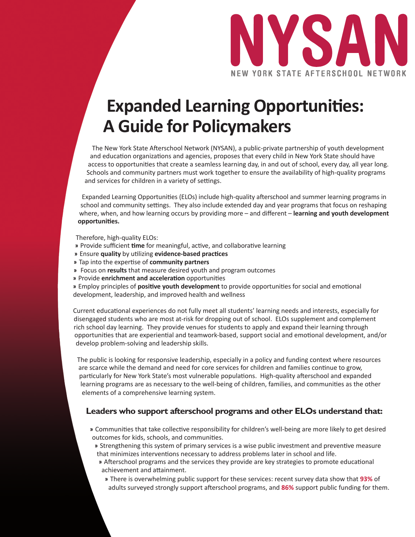

# **Expanded Learning Opportunities: A Guide for Policymakers**

The New York State Afterschool Network (NYSAN), a public-private partnership of youth development and education organizations and agencies, proposes that every child in New York State should have access to opportunities that create a seamless learning day, in and out of school, every day, all year long. Schools and community partners must work together to ensure the availability of high-quality programs and services for children in a variety of settings.

Expanded Learning Opportunities (ELOs) include high-quality afterschool and summer learning programs in school and community settings. They also include extended day and year programs that focus on reshaping where, when, and how learning occurs by providing more – and different – **learning and youth development opportuniti es.** 

Therefore, high-quality ELOs:

- » Provide sufficient time for meaningful, active, and collaborative learning
- **»** Ensure **quality** by uti lizing **evidence-based practi ces**
- **»** Tap into the experti se of **community partners**
- **»** Focus on **results** that measure desired youth and program outcomes
- **»** Provide **enrichment and acceleration** opportunities

» Employ principles of **positive youth development** to provide opportunities for social and emotional development, leadership, and improved health and wellness

Current educational experiences do not fully meet all students' learning needs and interests, especially for disengaged students who are most at-risk for dropping out of school. ELOs supplement and complement rich school day learning. They provide venues for students to apply and expand their learning through opportunities that are experiential and teamwork-based, support social and emotional development, and/or develop problem-solving and leadership skills.

The public is looking for responsive leadership, especially in a policy and funding context where resources are scarce while the demand and need for core services for children and families continue to grow, particularly for New York State's most vulnerable populations. High-quality afterschool and expanded learning programs are as necessary to the well-being of children, families, and communities as the other elements of a comprehensive learning system.

## **Leaders who support afterschool programs and other ELOs understand that:**

- » Communities that take collective responsibility for children's well-being are more likely to get desired outcomes for kids, schools, and communities.
	- » Strengthening this system of primary services is a wise public investment and preventive measure that minimizes interventions necessary to address problems later in school and life.
	- » Afterschool programs and the services they provide are key strategies to promote educational achievement and attainment.
		- **»** There is overwhelming public support for these services: recent survey data show that **93%** of adults surveyed strongly support afterschool programs, and 86% support public funding for them.